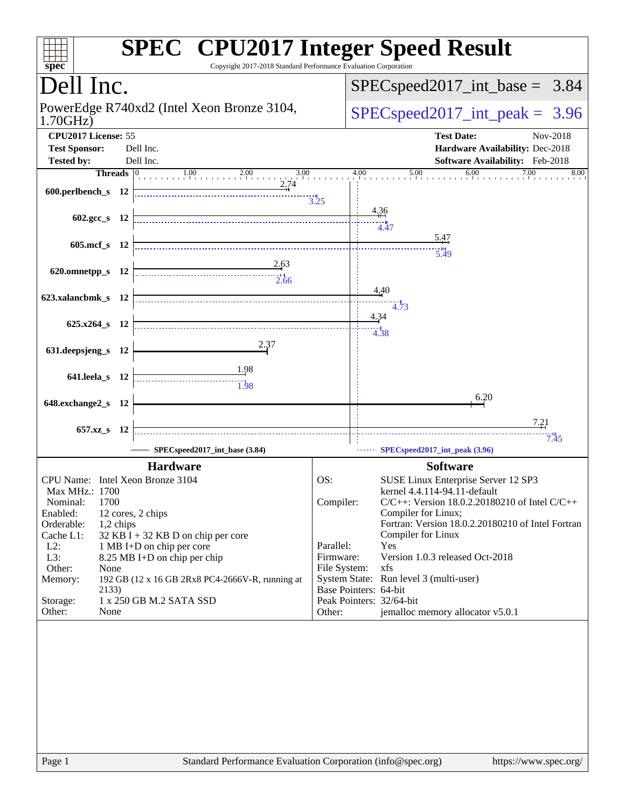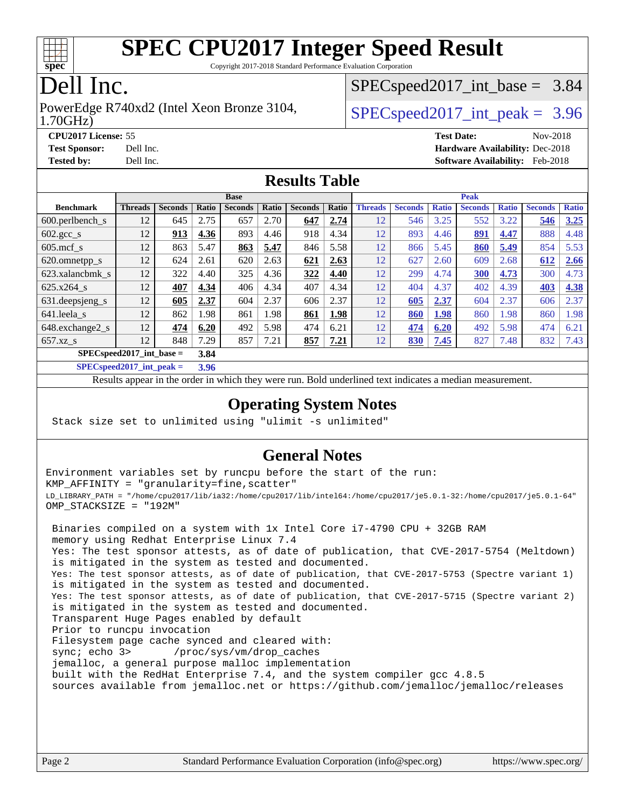

Copyright 2017-2018 Standard Performance Evaluation Corporation

# Dell Inc.

#### 1.70GHz) PowerEdge R740xd2 (Intel Xeon Bronze 3104,  $\vert$  [SPECspeed2017\\_int\\_peak =](http://www.spec.org/auto/cpu2017/Docs/result-fields.html#SPECspeed2017intpeak) 3.96

 $SPECspeed2017\_int\_base = 3.84$ 

**[CPU2017 License:](http://www.spec.org/auto/cpu2017/Docs/result-fields.html#CPU2017License)** 55 **[Test Date:](http://www.spec.org/auto/cpu2017/Docs/result-fields.html#TestDate)** Nov-2018 **[Test Sponsor:](http://www.spec.org/auto/cpu2017/Docs/result-fields.html#TestSponsor)** Dell Inc. **[Hardware Availability:](http://www.spec.org/auto/cpu2017/Docs/result-fields.html#HardwareAvailability)** Dec-2018 **[Tested by:](http://www.spec.org/auto/cpu2017/Docs/result-fields.html#Testedby)** Dell Inc. **[Software Availability:](http://www.spec.org/auto/cpu2017/Docs/result-fields.html#SoftwareAvailability)** Feb-2018

#### **[Results Table](http://www.spec.org/auto/cpu2017/Docs/result-fields.html#ResultsTable)**

|                                      | <b>Base</b>    |                |       |                | <b>Peak</b> |                |       |                |                |              |                |              |                |              |
|--------------------------------------|----------------|----------------|-------|----------------|-------------|----------------|-------|----------------|----------------|--------------|----------------|--------------|----------------|--------------|
| <b>Benchmark</b>                     | <b>Threads</b> | <b>Seconds</b> | Ratio | <b>Seconds</b> | Ratio       | <b>Seconds</b> | Ratio | <b>Threads</b> | <b>Seconds</b> | <b>Ratio</b> | <b>Seconds</b> | <b>Ratio</b> | <b>Seconds</b> | <b>Ratio</b> |
| 600.perlbench s                      | 12             | 645            | 2.75  | 657            | 2.70        | 647            | 2.74  | 12             | 546            | 3.25         | 552            | 3.22         | 546            | 3.25         |
| $602 \text{.} \text{gcc}\text{_<}$ s | 12             | 913            | 4.36  | 893            | 4.46        | 918            | 4.34  | 12             | 893            | 4.46         | <u>891</u>     | 4.47         | 888            | 4.48         |
| $605$ .mcf s                         | 12             | 863            | 5.47  | 863            | 5.47        | 846            | 5.58  | 12             | 866            | 5.45         | 860            | 5.49         | 854            | 5.53         |
| 620.omnetpp_s                        | 12             | 624            | 2.61  | 620            | 2.63        | 621            | 2.63  | 12             | 627            | 2.60         | 609            | 2.68         | 612            | 2.66         |
| 623.xalancbmk s                      | 12             | 322            | 4.40  | 325            | 4.36        | 322            | 4.40  | 12             | 299            | 4.74         | 300            | 4.73         | 300            | 4.73         |
| $625.x264$ s                         | 12             | 407            | 4.34  | 406            | 4.34        | 407            | 4.34  | 12             | 404            | 4.37         | 402            | 4.39         | 403            | 4.38         |
| 631.deepsjeng_s                      | 12             | 605            | 2.37  | 604            | 2.37        | 606            | 2.37  | 12             | 605            | 2.37         | 604            | 2.37         | 606            | 2.37         |
| 641.leela s                          | 12             | 862            | 1.98  | 861            | 1.98        | 861            | 1.98  | 12             | 860            | 1.98         | 860            | 1.98         | 860            | 1.98         |
| 648.exchange2_s                      | 12             | 474            | 6.20  | 492            | 5.98        | 474            | 6.21  | 12             | 474            | 6.20         | 492            | 5.98         | 474            | 6.21         |
| $657.xz$ s                           | 12             | 848            | 7.29  | 857            | 7.21        | 857            | 7.21  | 12             | 830            | 7.45         | 827            | 7.48         | 832            | 7.43         |
| $SPECspeed2017$ int base =<br>3.84   |                |                |       |                |             |                |       |                |                |              |                |              |                |              |

**[SPECspeed2017\\_int\\_peak =](http://www.spec.org/auto/cpu2017/Docs/result-fields.html#SPECspeed2017intpeak) 3.96**

Results appear in the [order in which they were run.](http://www.spec.org/auto/cpu2017/Docs/result-fields.html#RunOrder) Bold underlined text [indicates a median measurement.](http://www.spec.org/auto/cpu2017/Docs/result-fields.html#Median)

#### **[Operating System Notes](http://www.spec.org/auto/cpu2017/Docs/result-fields.html#OperatingSystemNotes)**

Stack size set to unlimited using "ulimit -s unlimited"

#### **[General Notes](http://www.spec.org/auto/cpu2017/Docs/result-fields.html#GeneralNotes)**

Environment variables set by runcpu before the start of the run: KMP\_AFFINITY = "granularity=fine,scatter" LD\_LIBRARY\_PATH = "/home/cpu2017/lib/ia32:/home/cpu2017/lib/intel64:/home/cpu2017/je5.0.1-32:/home/cpu2017/je5.0.1-64" OMP\_STACKSIZE = "192M" Binaries compiled on a system with 1x Intel Core i7-4790 CPU + 32GB RAM memory using Redhat Enterprise Linux 7.4 Yes: The test sponsor attests, as of date of publication, that CVE-2017-5754 (Meltdown) is mitigated in the system as tested and documented. Yes: The test sponsor attests, as of date of publication, that CVE-2017-5753 (Spectre variant 1) is mitigated in the system as tested and documented. Yes: The test sponsor attests, as of date of publication, that CVE-2017-5715 (Spectre variant 2) is mitigated in the system as tested and documented. Transparent Huge Pages enabled by default Prior to runcpu invocation Filesystem page cache synced and cleared with: sync; echo 3> /proc/sys/vm/drop\_caches jemalloc, a general purpose malloc implementation built with the RedHat Enterprise 7.4, and the system compiler gcc 4.8.5 sources available from jemalloc.net or <https://github.com/jemalloc/jemalloc/releases>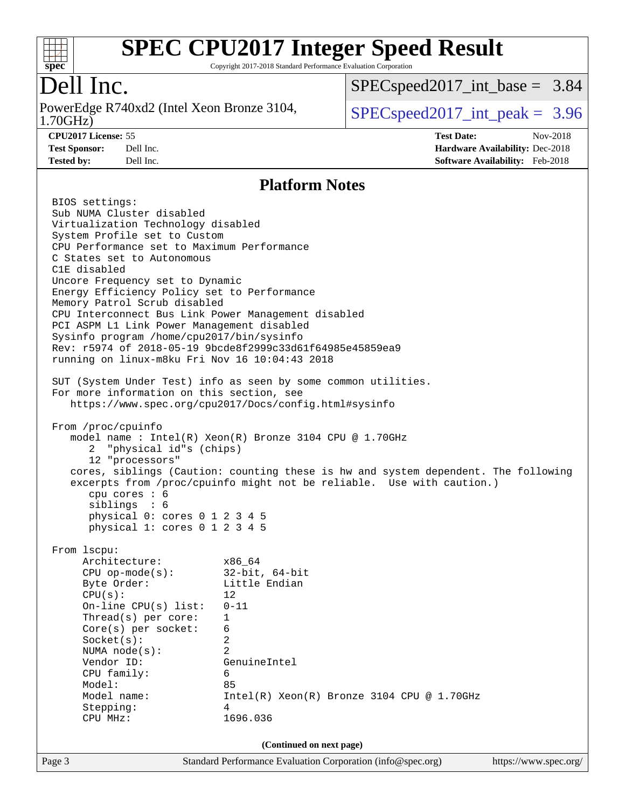

Copyright 2017-2018 Standard Performance Evaluation Corporation

# Dell Inc.

1.70GHz) PowerEdge R740xd2 (Intel Xeon Bronze 3104,  $\boxed{\text{SPEC speed2017\_int\_peak = 3.96}}$ 

[SPECspeed2017\\_int\\_base =](http://www.spec.org/auto/cpu2017/Docs/result-fields.html#SPECspeed2017intbase) 3.84

**[CPU2017 License:](http://www.spec.org/auto/cpu2017/Docs/result-fields.html#CPU2017License)** 55 **[Test Date:](http://www.spec.org/auto/cpu2017/Docs/result-fields.html#TestDate)** Nov-2018 **[Test Sponsor:](http://www.spec.org/auto/cpu2017/Docs/result-fields.html#TestSponsor)** Dell Inc. **[Hardware Availability:](http://www.spec.org/auto/cpu2017/Docs/result-fields.html#HardwareAvailability)** Dec-2018 **[Tested by:](http://www.spec.org/auto/cpu2017/Docs/result-fields.html#Testedby)** Dell Inc. **[Software Availability:](http://www.spec.org/auto/cpu2017/Docs/result-fields.html#SoftwareAvailability)** Feb-2018

#### **[Platform Notes](http://www.spec.org/auto/cpu2017/Docs/result-fields.html#PlatformNotes)**

| Page 3 |                                                | Standard Performance Evaluation Corporation (info@spec.org)                        | https://www.spec.org/ |  |  |  |  |
|--------|------------------------------------------------|------------------------------------------------------------------------------------|-----------------------|--|--|--|--|
|        |                                                | (Continued on next page)                                                           |                       |  |  |  |  |
|        |                                                |                                                                                    |                       |  |  |  |  |
|        | CPU MHz:                                       | 1696.036                                                                           |                       |  |  |  |  |
|        | Stepping:                                      | 4                                                                                  |                       |  |  |  |  |
|        | Model name:                                    |                                                                                    |                       |  |  |  |  |
|        |                                                | Intel(R) Xeon(R) Bronze 3104 CPU @ 1.70GHz                                         |                       |  |  |  |  |
|        | Model:                                         | 85                                                                                 |                       |  |  |  |  |
|        | CPU family:                                    | 6                                                                                  |                       |  |  |  |  |
|        | NUMA node(s):<br>Vendor ID:                    | GenuineIntel                                                                       |                       |  |  |  |  |
|        | Socket(s):                                     | 2                                                                                  |                       |  |  |  |  |
|        | $Core(s)$ per socket:                          | 6                                                                                  |                       |  |  |  |  |
|        | $Thread(s)$ per core:                          | $\mathbf{1}$                                                                       |                       |  |  |  |  |
|        | On-line $CPU(s)$ list:                         | $0 - 11$                                                                           |                       |  |  |  |  |
|        | CPU(s):                                        | 12                                                                                 |                       |  |  |  |  |
|        | Byte Order:                                    | Little Endian                                                                      |                       |  |  |  |  |
|        | CPU op-mode(s): $32-bit, 64-bit$               |                                                                                    |                       |  |  |  |  |
|        | Architecture: x86_64                           |                                                                                    |                       |  |  |  |  |
|        | From 1scpu:                                    |                                                                                    |                       |  |  |  |  |
|        | physical 1: cores 0 1 2 3 4 5                  |                                                                                    |                       |  |  |  |  |
|        | siblings : 6<br>physical 0: cores 0 1 2 3 4 5  |                                                                                    |                       |  |  |  |  |
|        | cpu cores : 6                                  |                                                                                    |                       |  |  |  |  |
|        |                                                | excerpts from /proc/cpuinfo might not be reliable. Use with caution.)              |                       |  |  |  |  |
|        | 12 "processors"                                | cores, siblings (Caution: counting these is hw and system dependent. The following |                       |  |  |  |  |
|        | 2 "physical id"s (chips)                       |                                                                                    |                       |  |  |  |  |
|        |                                                | model name: $Intel(R)$ Xeon(R) Bronze 3104 CPU @ 1.70GHz                           |                       |  |  |  |  |
|        | From /proc/cpuinfo                             |                                                                                    |                       |  |  |  |  |
|        |                                                |                                                                                    |                       |  |  |  |  |
|        |                                                | https://www.spec.org/cpu2017/Docs/config.html#sysinfo                              |                       |  |  |  |  |
|        | For more information on this section, see      | SUT (System Under Test) info as seen by some common utilities.                     |                       |  |  |  |  |
|        |                                                |                                                                                    |                       |  |  |  |  |
|        | running on linux-m8ku Fri Nov 16 10:04:43 2018 |                                                                                    |                       |  |  |  |  |
|        |                                                | Rev: r5974 of 2018-05-19 9bcde8f2999c33d61f64985e45859ea9                          |                       |  |  |  |  |
|        | Sysinfo program /home/cpu2017/bin/sysinfo      |                                                                                    |                       |  |  |  |  |
|        | PCI ASPM L1 Link Power Management disabled     |                                                                                    |                       |  |  |  |  |
|        |                                                | CPU Interconnect Bus Link Power Management disabled                                |                       |  |  |  |  |
|        | Memory Patrol Scrub disabled                   |                                                                                    |                       |  |  |  |  |
|        | Energy Efficiency Policy set to Performance    |                                                                                    |                       |  |  |  |  |
|        | Uncore Frequency set to Dynamic                |                                                                                    |                       |  |  |  |  |
|        | C States set to Autonomous<br>C1E disabled     |                                                                                    |                       |  |  |  |  |
|        | CPU Performance set to Maximum Performance     |                                                                                    |                       |  |  |  |  |
|        | System Profile set to Custom                   |                                                                                    |                       |  |  |  |  |
|        | Virtualization Technology disabled             |                                                                                    |                       |  |  |  |  |
|        | Sub NUMA Cluster disabled                      |                                                                                    |                       |  |  |  |  |
|        | BIOS settings:                                 |                                                                                    |                       |  |  |  |  |
|        |                                                |                                                                                    |                       |  |  |  |  |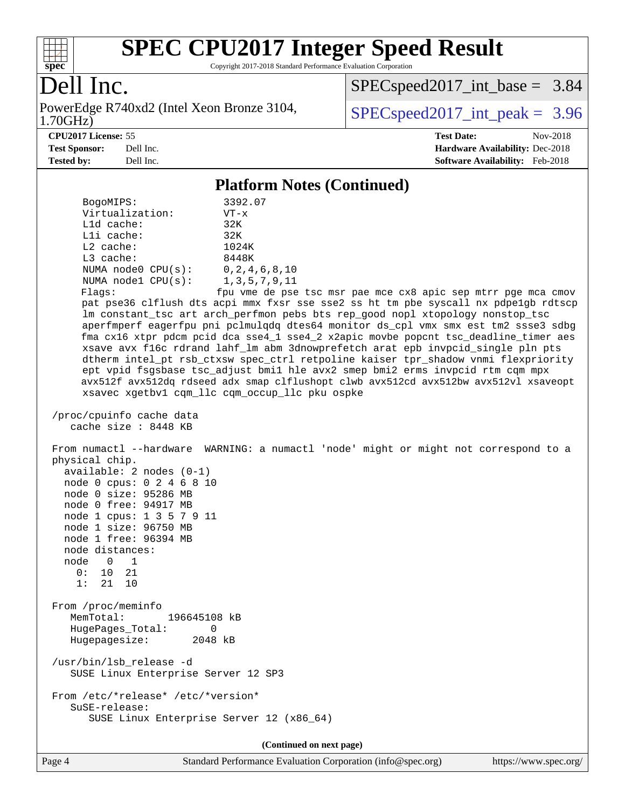

Copyright 2017-2018 Standard Performance Evaluation Corporation

# Dell Inc.

1.70GHz) PowerEdge R740xd2 (Intel Xeon Bronze 3104,  $\text{SPEC speed2017\_int\_peak} = 3.96$ 

[SPECspeed2017\\_int\\_base =](http://www.spec.org/auto/cpu2017/Docs/result-fields.html#SPECspeed2017intbase) 3.84

**[CPU2017 License:](http://www.spec.org/auto/cpu2017/Docs/result-fields.html#CPU2017License)** 55 **[Test Date:](http://www.spec.org/auto/cpu2017/Docs/result-fields.html#TestDate)** Nov-2018 **[Test Sponsor:](http://www.spec.org/auto/cpu2017/Docs/result-fields.html#TestSponsor)** Dell Inc. **[Hardware Availability:](http://www.spec.org/auto/cpu2017/Docs/result-fields.html#HardwareAvailability)** Dec-2018 **[Tested by:](http://www.spec.org/auto/cpu2017/Docs/result-fields.html#Testedby)** Dell Inc. **[Software Availability:](http://www.spec.org/auto/cpu2017/Docs/result-fields.html#SoftwareAvailability)** Feb-2018

#### **[Platform Notes \(Continued\)](http://www.spec.org/auto/cpu2017/Docs/result-fields.html#PlatformNotes)**

| BogoMIPS:<br>Virtualization:                                                                                                                                                                                                                                       | 3392.07<br>$VT - x$                                                                                                                                                                                                                                                                                                                                                                                                                                                                                                                                                                                                                                                                                                                                                                                                    |
|--------------------------------------------------------------------------------------------------------------------------------------------------------------------------------------------------------------------------------------------------------------------|------------------------------------------------------------------------------------------------------------------------------------------------------------------------------------------------------------------------------------------------------------------------------------------------------------------------------------------------------------------------------------------------------------------------------------------------------------------------------------------------------------------------------------------------------------------------------------------------------------------------------------------------------------------------------------------------------------------------------------------------------------------------------------------------------------------------|
| L1d cache:                                                                                                                                                                                                                                                         | 32K                                                                                                                                                                                                                                                                                                                                                                                                                                                                                                                                                                                                                                                                                                                                                                                                                    |
| Lli cache:                                                                                                                                                                                                                                                         | 32K                                                                                                                                                                                                                                                                                                                                                                                                                                                                                                                                                                                                                                                                                                                                                                                                                    |
| L2 cache:                                                                                                                                                                                                                                                          | 1024K                                                                                                                                                                                                                                                                                                                                                                                                                                                                                                                                                                                                                                                                                                                                                                                                                  |
| $L3$ cache:                                                                                                                                                                                                                                                        | 8448K                                                                                                                                                                                                                                                                                                                                                                                                                                                                                                                                                                                                                                                                                                                                                                                                                  |
| NUMA $node0$ $CPU(s)$ :<br>NUMA nodel CPU(s):                                                                                                                                                                                                                      | 0, 2, 4, 6, 8, 10<br>1, 3, 5, 7, 9, 11                                                                                                                                                                                                                                                                                                                                                                                                                                                                                                                                                                                                                                                                                                                                                                                 |
| Flags:                                                                                                                                                                                                                                                             | fpu vme de pse tsc msr pae mce cx8 apic sep mtrr pge mca cmov<br>pat pse36 clflush dts acpi mmx fxsr sse sse2 ss ht tm pbe syscall nx pdpelgb rdtscp<br>lm constant_tsc art arch_perfmon pebs bts rep_good nopl xtopology nonstop_tsc<br>aperfmperf eagerfpu pni pclmulqdq dtes64 monitor ds_cpl vmx smx est tm2 ssse3 sdbg<br>fma cx16 xtpr pdcm pcid dca sse4_1 sse4_2 x2apic movbe popcnt tsc_deadline_timer aes<br>xsave avx f16c rdrand lahf_lm abm 3dnowprefetch arat epb invpcid_single pln pts<br>dtherm intel_pt rsb_ctxsw spec_ctrl retpoline kaiser tpr_shadow vnmi flexpriority<br>ept vpid fsgsbase tsc_adjust bmil hle avx2 smep bmi2 erms invpcid rtm cqm mpx<br>avx512f avx512dq rdseed adx smap clflushopt clwb avx512cd avx512bw avx512vl xsaveopt<br>xsavec xgetbvl cqm_llc cqm_occup_llc pku ospke |
| /proc/cpuinfo cache data<br>cache size: 8448 KB                                                                                                                                                                                                                    |                                                                                                                                                                                                                                                                                                                                                                                                                                                                                                                                                                                                                                                                                                                                                                                                                        |
| physical chip.<br>available: 2 nodes (0-1)<br>node 0 cpus: 0 2 4 6 8 10<br>node 0 size: 95286 MB<br>node 0 free: 94917 MB<br>node 1 cpus: 1 3 5 7 9 11<br>node 1 size: 96750 MB<br>node 1 free: 96394 MB<br>node distances:<br>node 0 1<br>0: 10 21<br>1:<br>21 10 | From numactl --hardware WARNING: a numactl 'node' might or might not correspond to a                                                                                                                                                                                                                                                                                                                                                                                                                                                                                                                                                                                                                                                                                                                                   |
| From /proc/meminfo<br>MemTotal:<br>196645108 kB                                                                                                                                                                                                                    |                                                                                                                                                                                                                                                                                                                                                                                                                                                                                                                                                                                                                                                                                                                                                                                                                        |
| HugePages_Total:<br>0<br>Hugepagesize:<br>2048 kB                                                                                                                                                                                                                  |                                                                                                                                                                                                                                                                                                                                                                                                                                                                                                                                                                                                                                                                                                                                                                                                                        |
| /usr/bin/lsb_release -d<br>SUSE Linux Enterprise Server 12 SP3                                                                                                                                                                                                     |                                                                                                                                                                                                                                                                                                                                                                                                                                                                                                                                                                                                                                                                                                                                                                                                                        |
| From /etc/*release* /etc/*version*<br>SuSE-release:<br>SUSE Linux Enterprise Server 12 (x86_64)                                                                                                                                                                    |                                                                                                                                                                                                                                                                                                                                                                                                                                                                                                                                                                                                                                                                                                                                                                                                                        |
|                                                                                                                                                                                                                                                                    | (Continued on next page)                                                                                                                                                                                                                                                                                                                                                                                                                                                                                                                                                                                                                                                                                                                                                                                               |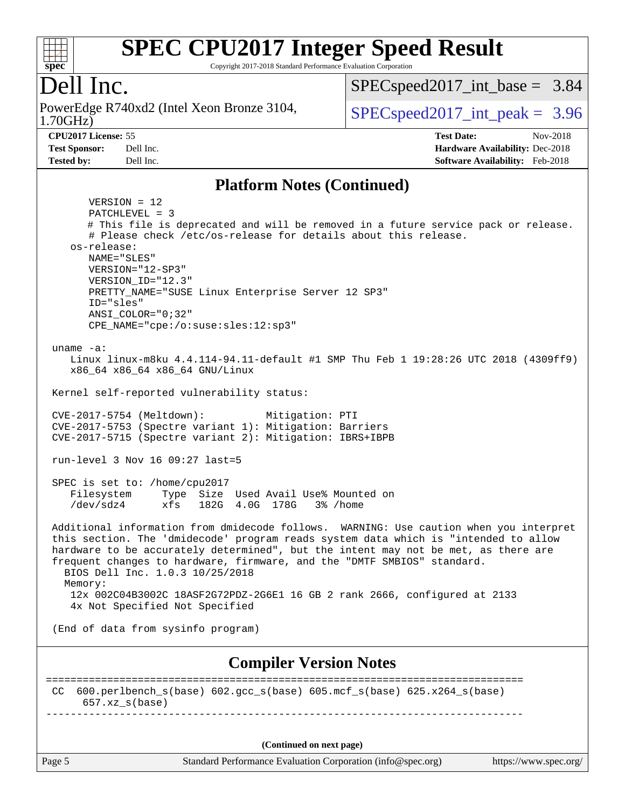

Copyright 2017-2018 Standard Performance Evaluation Corporation

## Dell Inc.

1.70GHz) PowerEdge R740xd2 (Intel Xeon Bronze 3104,  $\vert$  [SPECspeed2017\\_int\\_peak =](http://www.spec.org/auto/cpu2017/Docs/result-fields.html#SPECspeed2017intpeak) 3.96

 $SPECspeed2017\_int\_base = 3.84$ 

**[Tested by:](http://www.spec.org/auto/cpu2017/Docs/result-fields.html#Testedby)** Dell Inc. **[Software Availability:](http://www.spec.org/auto/cpu2017/Docs/result-fields.html#SoftwareAvailability)** Feb-2018

**[CPU2017 License:](http://www.spec.org/auto/cpu2017/Docs/result-fields.html#CPU2017License)** 55 **[Test Date:](http://www.spec.org/auto/cpu2017/Docs/result-fields.html#TestDate)** Nov-2018 **[Test Sponsor:](http://www.spec.org/auto/cpu2017/Docs/result-fields.html#TestSponsor)** Dell Inc. **[Hardware Availability:](http://www.spec.org/auto/cpu2017/Docs/result-fields.html#HardwareAvailability)** Dec-2018

#### **[Platform Notes \(Continued\)](http://www.spec.org/auto/cpu2017/Docs/result-fields.html#PlatformNotes)**

Page 5 Standard Performance Evaluation Corporation [\(info@spec.org\)](mailto:info@spec.org) <https://www.spec.org/> VERSION = 12 PATCHLEVEL = 3 # This file is deprecated and will be removed in a future service pack or release. # Please check /etc/os-release for details about this release. os-release: NAME="SLES" VERSION="12-SP3" VERSION\_ID="12.3" PRETTY\_NAME="SUSE Linux Enterprise Server 12 SP3" ID="sles" ANSI\_COLOR="0;32" CPE\_NAME="cpe:/o:suse:sles:12:sp3" uname -a: Linux linux-m8ku 4.4.114-94.11-default #1 SMP Thu Feb 1 19:28:26 UTC 2018 (4309ff9) x86\_64 x86\_64 x86\_64 GNU/Linux Kernel self-reported vulnerability status: CVE-2017-5754 (Meltdown): Mitigation: PTI CVE-2017-5753 (Spectre variant 1): Mitigation: Barriers CVE-2017-5715 (Spectre variant 2): Mitigation: IBRS+IBPB run-level 3 Nov 16 09:27 last=5 SPEC is set to: /home/cpu2017 Filesystem Type Size Used Avail Use% Mounted on /dev/sdz4 xfs 182G 4.0G 178G 3% /home Additional information from dmidecode follows. WARNING: Use caution when you interpret this section. The 'dmidecode' program reads system data which is "intended to allow hardware to be accurately determined", but the intent may not be met, as there are frequent changes to hardware, firmware, and the "DMTF SMBIOS" standard. BIOS Dell Inc. 1.0.3 10/25/2018 Memory: 12x 002C04B3002C 18ASF2G72PDZ-2G6E1 16 GB 2 rank 2666, configured at 2133 4x Not Specified Not Specified (End of data from sysinfo program) **[Compiler Version Notes](http://www.spec.org/auto/cpu2017/Docs/result-fields.html#CompilerVersionNotes)** ============================================================================== CC 600.perlbench\_s(base) 602.gcc\_s(base) 605.mcf\_s(base) 625.x264\_s(base)  $657.xx$  s(base) ------------------------------------------------------------------------------ **(Continued on next page)**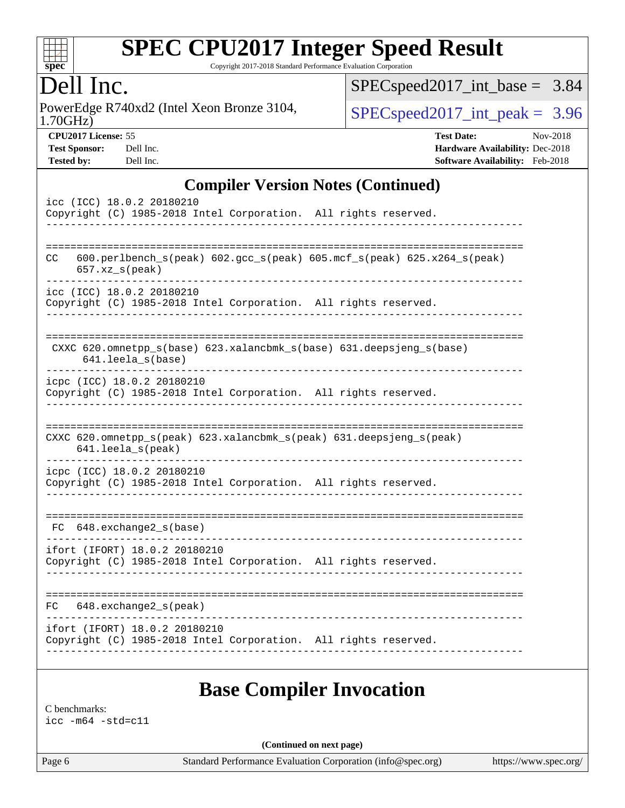

Copyright 2017-2018 Standard Performance Evaluation Corporation

## Dell Inc.

1.70GHz) PowerEdge R740xd2 (Intel Xeon Bronze 3104,  $\text{SPEC speed2017\_int\_peak} = 3.96$ 

[SPECspeed2017\\_int\\_base =](http://www.spec.org/auto/cpu2017/Docs/result-fields.html#SPECspeed2017intbase) 3.84

**[CPU2017 License:](http://www.spec.org/auto/cpu2017/Docs/result-fields.html#CPU2017License)** 55 **[Test Date:](http://www.spec.org/auto/cpu2017/Docs/result-fields.html#TestDate)** Nov-2018 **[Test Sponsor:](http://www.spec.org/auto/cpu2017/Docs/result-fields.html#TestSponsor)** Dell Inc. **[Hardware Availability:](http://www.spec.org/auto/cpu2017/Docs/result-fields.html#HardwareAvailability)** Dec-2018 **[Tested by:](http://www.spec.org/auto/cpu2017/Docs/result-fields.html#Testedby)** Dell Inc. **[Software Availability:](http://www.spec.org/auto/cpu2017/Docs/result-fields.html#SoftwareAvailability)** Feb-2018

#### **[Compiler Version Notes \(Continued\)](http://www.spec.org/auto/cpu2017/Docs/result-fields.html#CompilerVersionNotes)**

| icc (ICC) 18.0.2 20180210<br>Copyright (C) 1985-2018 Intel Corporation. All rights reserved.                                |
|-----------------------------------------------------------------------------------------------------------------------------|
| 600.perlbench_s(peak) 602.gcc_s(peak) 605.mcf_s(peak) 625.x264_s(peak)<br>CC<br>$657. xz$ <sub>_<math>s</math></sub> (peak) |
| icc (ICC) 18.0.2 20180210<br>Copyright (C) 1985-2018 Intel Corporation. All rights reserved.                                |
| CXXC 620.omnetpp_s(base) 623.xalancbmk_s(base) 631.deepsjeng_s(base)<br>641.leela_s(base)                                   |
| icpc (ICC) 18.0.2 20180210<br>Copyright (C) 1985-2018 Intel Corporation. All rights reserved.                               |
| CXXC 620.omnetpp_s(peak) 623.xalancbmk_s(peak) 631.deepsjeng_s(peak)<br>641.leela s(peak)                                   |
| icpc (ICC) 18.0.2 20180210<br>Copyright (C) 1985-2018 Intel Corporation. All rights reserved.                               |
| FC 648.exchange2_s(base)                                                                                                    |
| ifort (IFORT) 18.0.2 20180210<br>Copyright (C) 1985-2018 Intel Corporation. All rights reserved.                            |
| 648.exchange2_s(peak)<br>FC.                                                                                                |
| ifort (IFORT) 18.0.2 20180210<br>Copyright (C) 1985-2018 Intel Corporation. All rights reserved.                            |
|                                                                                                                             |

#### **[Base Compiler Invocation](http://www.spec.org/auto/cpu2017/Docs/result-fields.html#BaseCompilerInvocation)**

[C benchmarks:](http://www.spec.org/auto/cpu2017/Docs/result-fields.html#Cbenchmarks) [icc -m64 -std=c11](http://www.spec.org/cpu2017/results/res2018q4/cpu2017-20181210-10216.flags.html#user_CCbase_intel_icc_64bit_c11_33ee0cdaae7deeeab2a9725423ba97205ce30f63b9926c2519791662299b76a0318f32ddfffdc46587804de3178b4f9328c46fa7c2b0cd779d7a61945c91cd35)

**(Continued on next page)**

Page 6 Standard Performance Evaluation Corporation [\(info@spec.org\)](mailto:info@spec.org) <https://www.spec.org/>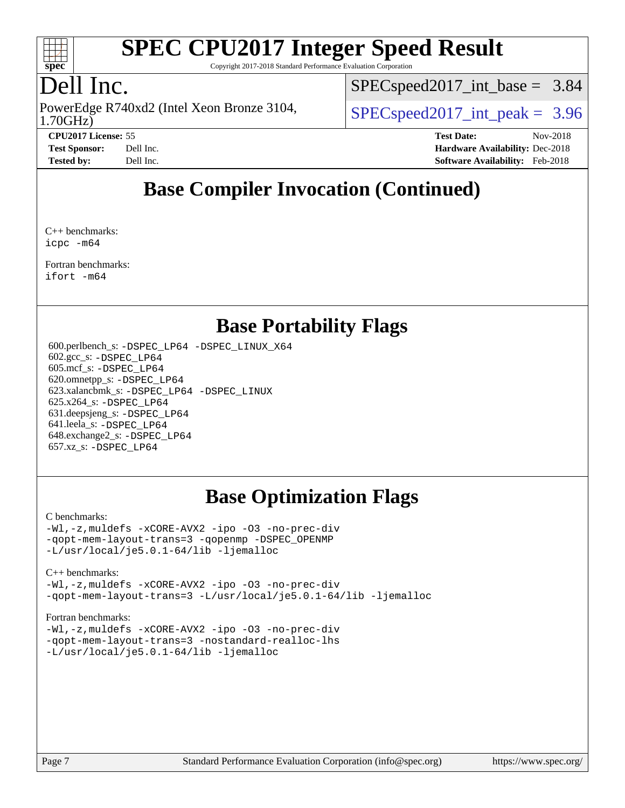

Copyright 2017-2018 Standard Performance Evaluation Corporation

# Dell Inc.

1.70GHz) PowerEdge R740xd2 (Intel Xeon Bronze 3104,  $\vert$  [SPECspeed2017\\_int\\_peak =](http://www.spec.org/auto/cpu2017/Docs/result-fields.html#SPECspeed2017intpeak) 3.96

 $SPECspeed2017\_int\_base = 3.84$ 

**[CPU2017 License:](http://www.spec.org/auto/cpu2017/Docs/result-fields.html#CPU2017License)** 55 **[Test Date:](http://www.spec.org/auto/cpu2017/Docs/result-fields.html#TestDate)** Nov-2018 **[Test Sponsor:](http://www.spec.org/auto/cpu2017/Docs/result-fields.html#TestSponsor)** Dell Inc. **[Hardware Availability:](http://www.spec.org/auto/cpu2017/Docs/result-fields.html#HardwareAvailability)** Dec-2018 **[Tested by:](http://www.spec.org/auto/cpu2017/Docs/result-fields.html#Testedby)** Dell Inc. **[Software Availability:](http://www.spec.org/auto/cpu2017/Docs/result-fields.html#SoftwareAvailability)** Feb-2018

## **[Base Compiler Invocation \(Continued\)](http://www.spec.org/auto/cpu2017/Docs/result-fields.html#BaseCompilerInvocation)**

[C++ benchmarks](http://www.spec.org/auto/cpu2017/Docs/result-fields.html#CXXbenchmarks): [icpc -m64](http://www.spec.org/cpu2017/results/res2018q4/cpu2017-20181210-10216.flags.html#user_CXXbase_intel_icpc_64bit_4ecb2543ae3f1412ef961e0650ca070fec7b7afdcd6ed48761b84423119d1bf6bdf5cad15b44d48e7256388bc77273b966e5eb805aefd121eb22e9299b2ec9d9)

[Fortran benchmarks](http://www.spec.org/auto/cpu2017/Docs/result-fields.html#Fortranbenchmarks): [ifort -m64](http://www.spec.org/cpu2017/results/res2018q4/cpu2017-20181210-10216.flags.html#user_FCbase_intel_ifort_64bit_24f2bb282fbaeffd6157abe4f878425411749daecae9a33200eee2bee2fe76f3b89351d69a8130dd5949958ce389cf37ff59a95e7a40d588e8d3a57e0c3fd751)

#### **[Base Portability Flags](http://www.spec.org/auto/cpu2017/Docs/result-fields.html#BasePortabilityFlags)**

 600.perlbench\_s: [-DSPEC\\_LP64](http://www.spec.org/cpu2017/results/res2018q4/cpu2017-20181210-10216.flags.html#b600.perlbench_s_basePORTABILITY_DSPEC_LP64) [-DSPEC\\_LINUX\\_X64](http://www.spec.org/cpu2017/results/res2018q4/cpu2017-20181210-10216.flags.html#b600.perlbench_s_baseCPORTABILITY_DSPEC_LINUX_X64) 602.gcc\_s: [-DSPEC\\_LP64](http://www.spec.org/cpu2017/results/res2018q4/cpu2017-20181210-10216.flags.html#suite_basePORTABILITY602_gcc_s_DSPEC_LP64) 605.mcf\_s: [-DSPEC\\_LP64](http://www.spec.org/cpu2017/results/res2018q4/cpu2017-20181210-10216.flags.html#suite_basePORTABILITY605_mcf_s_DSPEC_LP64) 620.omnetpp\_s: [-DSPEC\\_LP64](http://www.spec.org/cpu2017/results/res2018q4/cpu2017-20181210-10216.flags.html#suite_basePORTABILITY620_omnetpp_s_DSPEC_LP64) 623.xalancbmk\_s: [-DSPEC\\_LP64](http://www.spec.org/cpu2017/results/res2018q4/cpu2017-20181210-10216.flags.html#suite_basePORTABILITY623_xalancbmk_s_DSPEC_LP64) [-DSPEC\\_LINUX](http://www.spec.org/cpu2017/results/res2018q4/cpu2017-20181210-10216.flags.html#b623.xalancbmk_s_baseCXXPORTABILITY_DSPEC_LINUX) 625.x264\_s: [-DSPEC\\_LP64](http://www.spec.org/cpu2017/results/res2018q4/cpu2017-20181210-10216.flags.html#suite_basePORTABILITY625_x264_s_DSPEC_LP64) 631.deepsjeng\_s: [-DSPEC\\_LP64](http://www.spec.org/cpu2017/results/res2018q4/cpu2017-20181210-10216.flags.html#suite_basePORTABILITY631_deepsjeng_s_DSPEC_LP64) 641.leela\_s: [-DSPEC\\_LP64](http://www.spec.org/cpu2017/results/res2018q4/cpu2017-20181210-10216.flags.html#suite_basePORTABILITY641_leela_s_DSPEC_LP64) 648.exchange2\_s: [-DSPEC\\_LP64](http://www.spec.org/cpu2017/results/res2018q4/cpu2017-20181210-10216.flags.html#suite_basePORTABILITY648_exchange2_s_DSPEC_LP64) 657.xz\_s: [-DSPEC\\_LP64](http://www.spec.org/cpu2017/results/res2018q4/cpu2017-20181210-10216.flags.html#suite_basePORTABILITY657_xz_s_DSPEC_LP64)

# **[Base Optimization Flags](http://www.spec.org/auto/cpu2017/Docs/result-fields.html#BaseOptimizationFlags)**

#### [C benchmarks](http://www.spec.org/auto/cpu2017/Docs/result-fields.html#Cbenchmarks):

```
-Wl,-z,muldefs -xCORE-AVX2 -ipo -O3 -no-prec-div
-qopt-mem-layout-trans=3 -qopenmp -DSPEC_OPENMP
-L/usr/local/je5.0.1-64/lib -ljemalloc
```
#### [C++ benchmarks:](http://www.spec.org/auto/cpu2017/Docs/result-fields.html#CXXbenchmarks)

[-Wl,-z,muldefs](http://www.spec.org/cpu2017/results/res2018q4/cpu2017-20181210-10216.flags.html#user_CXXbase_link_force_multiple1_b4cbdb97b34bdee9ceefcfe54f4c8ea74255f0b02a4b23e853cdb0e18eb4525ac79b5a88067c842dd0ee6996c24547a27a4b99331201badda8798ef8a743f577) [-xCORE-AVX2](http://www.spec.org/cpu2017/results/res2018q4/cpu2017-20181210-10216.flags.html#user_CXXbase_f-xCORE-AVX2) [-ipo](http://www.spec.org/cpu2017/results/res2018q4/cpu2017-20181210-10216.flags.html#user_CXXbase_f-ipo) [-O3](http://www.spec.org/cpu2017/results/res2018q4/cpu2017-20181210-10216.flags.html#user_CXXbase_f-O3) [-no-prec-div](http://www.spec.org/cpu2017/results/res2018q4/cpu2017-20181210-10216.flags.html#user_CXXbase_f-no-prec-div) [-qopt-mem-layout-trans=3](http://www.spec.org/cpu2017/results/res2018q4/cpu2017-20181210-10216.flags.html#user_CXXbase_f-qopt-mem-layout-trans_de80db37974c74b1f0e20d883f0b675c88c3b01e9d123adea9b28688d64333345fb62bc4a798493513fdb68f60282f9a726aa07f478b2f7113531aecce732043) [-L/usr/local/je5.0.1-64/lib](http://www.spec.org/cpu2017/results/res2018q4/cpu2017-20181210-10216.flags.html#user_CXXbase_jemalloc_link_path64_4b10a636b7bce113509b17f3bd0d6226c5fb2346b9178c2d0232c14f04ab830f976640479e5c33dc2bcbbdad86ecfb6634cbbd4418746f06f368b512fced5394) [-ljemalloc](http://www.spec.org/cpu2017/results/res2018q4/cpu2017-20181210-10216.flags.html#user_CXXbase_jemalloc_link_lib_d1249b907c500fa1c0672f44f562e3d0f79738ae9e3c4a9c376d49f265a04b9c99b167ecedbf6711b3085be911c67ff61f150a17b3472be731631ba4d0471706)

#### [Fortran benchmarks](http://www.spec.org/auto/cpu2017/Docs/result-fields.html#Fortranbenchmarks):

[-Wl,-z,muldefs](http://www.spec.org/cpu2017/results/res2018q4/cpu2017-20181210-10216.flags.html#user_FCbase_link_force_multiple1_b4cbdb97b34bdee9ceefcfe54f4c8ea74255f0b02a4b23e853cdb0e18eb4525ac79b5a88067c842dd0ee6996c24547a27a4b99331201badda8798ef8a743f577) [-xCORE-AVX2](http://www.spec.org/cpu2017/results/res2018q4/cpu2017-20181210-10216.flags.html#user_FCbase_f-xCORE-AVX2) [-ipo](http://www.spec.org/cpu2017/results/res2018q4/cpu2017-20181210-10216.flags.html#user_FCbase_f-ipo) [-O3](http://www.spec.org/cpu2017/results/res2018q4/cpu2017-20181210-10216.flags.html#user_FCbase_f-O3) [-no-prec-div](http://www.spec.org/cpu2017/results/res2018q4/cpu2017-20181210-10216.flags.html#user_FCbase_f-no-prec-div) [-qopt-mem-layout-trans=3](http://www.spec.org/cpu2017/results/res2018q4/cpu2017-20181210-10216.flags.html#user_FCbase_f-qopt-mem-layout-trans_de80db37974c74b1f0e20d883f0b675c88c3b01e9d123adea9b28688d64333345fb62bc4a798493513fdb68f60282f9a726aa07f478b2f7113531aecce732043) [-nostandard-realloc-lhs](http://www.spec.org/cpu2017/results/res2018q4/cpu2017-20181210-10216.flags.html#user_FCbase_f_2003_std_realloc_82b4557e90729c0f113870c07e44d33d6f5a304b4f63d4c15d2d0f1fab99f5daaed73bdb9275d9ae411527f28b936061aa8b9c8f2d63842963b95c9dd6426b8a) [-L/usr/local/je5.0.1-64/lib](http://www.spec.org/cpu2017/results/res2018q4/cpu2017-20181210-10216.flags.html#user_FCbase_jemalloc_link_path64_4b10a636b7bce113509b17f3bd0d6226c5fb2346b9178c2d0232c14f04ab830f976640479e5c33dc2bcbbdad86ecfb6634cbbd4418746f06f368b512fced5394) [-ljemalloc](http://www.spec.org/cpu2017/results/res2018q4/cpu2017-20181210-10216.flags.html#user_FCbase_jemalloc_link_lib_d1249b907c500fa1c0672f44f562e3d0f79738ae9e3c4a9c376d49f265a04b9c99b167ecedbf6711b3085be911c67ff61f150a17b3472be731631ba4d0471706)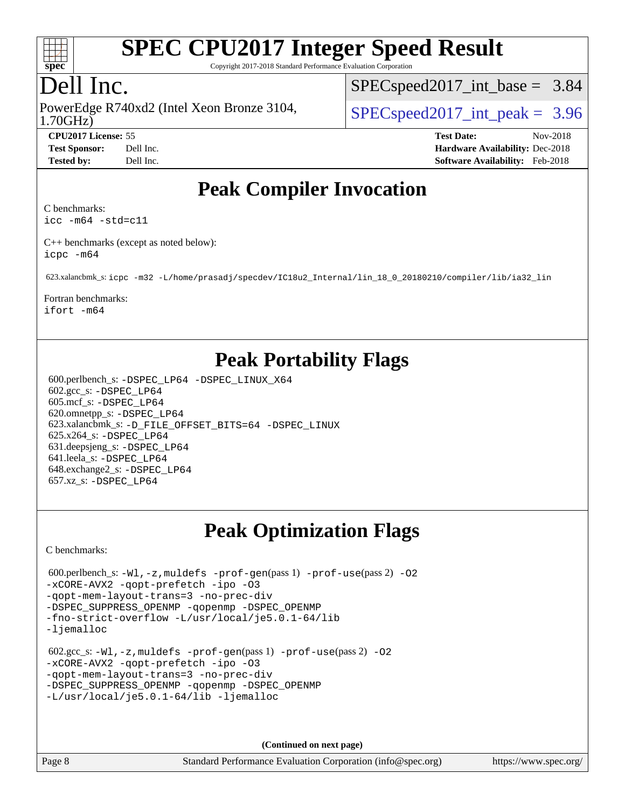

Copyright 2017-2018 Standard Performance Evaluation Corporation

## Dell Inc.

1.70GHz) PowerEdge R740xd2 (Intel Xeon Bronze 3104,  $\vert$  [SPECspeed2017\\_int\\_peak =](http://www.spec.org/auto/cpu2017/Docs/result-fields.html#SPECspeed2017intpeak) 3.96

 $SPECspeed2017\_int\_base = 3.84$ 

**[CPU2017 License:](http://www.spec.org/auto/cpu2017/Docs/result-fields.html#CPU2017License)** 55 **[Test Date:](http://www.spec.org/auto/cpu2017/Docs/result-fields.html#TestDate)** Nov-2018 **[Test Sponsor:](http://www.spec.org/auto/cpu2017/Docs/result-fields.html#TestSponsor)** Dell Inc. **[Hardware Availability:](http://www.spec.org/auto/cpu2017/Docs/result-fields.html#HardwareAvailability)** Dec-2018 **[Tested by:](http://www.spec.org/auto/cpu2017/Docs/result-fields.html#Testedby)** Dell Inc. **[Software Availability:](http://www.spec.org/auto/cpu2017/Docs/result-fields.html#SoftwareAvailability)** Feb-2018

### **[Peak Compiler Invocation](http://www.spec.org/auto/cpu2017/Docs/result-fields.html#PeakCompilerInvocation)**

[C benchmarks:](http://www.spec.org/auto/cpu2017/Docs/result-fields.html#Cbenchmarks)

[icc -m64 -std=c11](http://www.spec.org/cpu2017/results/res2018q4/cpu2017-20181210-10216.flags.html#user_CCpeak_intel_icc_64bit_c11_33ee0cdaae7deeeab2a9725423ba97205ce30f63b9926c2519791662299b76a0318f32ddfffdc46587804de3178b4f9328c46fa7c2b0cd779d7a61945c91cd35)

[C++ benchmarks \(except as noted below\):](http://www.spec.org/auto/cpu2017/Docs/result-fields.html#CXXbenchmarksexceptasnotedbelow) [icpc -m64](http://www.spec.org/cpu2017/results/res2018q4/cpu2017-20181210-10216.flags.html#user_CXXpeak_intel_icpc_64bit_4ecb2543ae3f1412ef961e0650ca070fec7b7afdcd6ed48761b84423119d1bf6bdf5cad15b44d48e7256388bc77273b966e5eb805aefd121eb22e9299b2ec9d9)

623.xalancbmk\_s: [icpc -m32 -L/home/prasadj/specdev/IC18u2\\_Internal/lin\\_18\\_0\\_20180210/compiler/lib/ia32\\_lin](http://www.spec.org/cpu2017/results/res2018q4/cpu2017-20181210-10216.flags.html#user_peakCXXLD623_xalancbmk_s_intel_icpc_c6d030cd79af6ea7d6fb64c57e8fe7ae8fe0b96fc5a3b3f4a10e3273b3d7fa9decd8263f6330cef23f751cb093a69fae84a2bf4c243500a8eed069248128076f)

[Fortran benchmarks:](http://www.spec.org/auto/cpu2017/Docs/result-fields.html#Fortranbenchmarks) [ifort -m64](http://www.spec.org/cpu2017/results/res2018q4/cpu2017-20181210-10216.flags.html#user_FCpeak_intel_ifort_64bit_24f2bb282fbaeffd6157abe4f878425411749daecae9a33200eee2bee2fe76f3b89351d69a8130dd5949958ce389cf37ff59a95e7a40d588e8d3a57e0c3fd751)

## **[Peak Portability Flags](http://www.spec.org/auto/cpu2017/Docs/result-fields.html#PeakPortabilityFlags)**

 600.perlbench\_s: [-DSPEC\\_LP64](http://www.spec.org/cpu2017/results/res2018q4/cpu2017-20181210-10216.flags.html#b600.perlbench_s_peakPORTABILITY_DSPEC_LP64) [-DSPEC\\_LINUX\\_X64](http://www.spec.org/cpu2017/results/res2018q4/cpu2017-20181210-10216.flags.html#b600.perlbench_s_peakCPORTABILITY_DSPEC_LINUX_X64) 602.gcc\_s: [-DSPEC\\_LP64](http://www.spec.org/cpu2017/results/res2018q4/cpu2017-20181210-10216.flags.html#suite_peakPORTABILITY602_gcc_s_DSPEC_LP64) 605.mcf\_s: [-DSPEC\\_LP64](http://www.spec.org/cpu2017/results/res2018q4/cpu2017-20181210-10216.flags.html#suite_peakPORTABILITY605_mcf_s_DSPEC_LP64) 620.omnetpp\_s: [-DSPEC\\_LP64](http://www.spec.org/cpu2017/results/res2018q4/cpu2017-20181210-10216.flags.html#suite_peakPORTABILITY620_omnetpp_s_DSPEC_LP64) 623.xalancbmk\_s: [-D\\_FILE\\_OFFSET\\_BITS=64](http://www.spec.org/cpu2017/results/res2018q4/cpu2017-20181210-10216.flags.html#user_peakPORTABILITY623_xalancbmk_s_file_offset_bits_64_5ae949a99b284ddf4e95728d47cb0843d81b2eb0e18bdfe74bbf0f61d0b064f4bda2f10ea5eb90e1dcab0e84dbc592acfc5018bc955c18609f94ddb8d550002c) [-DSPEC\\_LINUX](http://www.spec.org/cpu2017/results/res2018q4/cpu2017-20181210-10216.flags.html#b623.xalancbmk_s_peakCXXPORTABILITY_DSPEC_LINUX) 625.x264\_s: [-DSPEC\\_LP64](http://www.spec.org/cpu2017/results/res2018q4/cpu2017-20181210-10216.flags.html#suite_peakPORTABILITY625_x264_s_DSPEC_LP64) 631.deepsjeng\_s: [-DSPEC\\_LP64](http://www.spec.org/cpu2017/results/res2018q4/cpu2017-20181210-10216.flags.html#suite_peakPORTABILITY631_deepsjeng_s_DSPEC_LP64) 641.leela\_s: [-DSPEC\\_LP64](http://www.spec.org/cpu2017/results/res2018q4/cpu2017-20181210-10216.flags.html#suite_peakPORTABILITY641_leela_s_DSPEC_LP64) 648.exchange2\_s: [-DSPEC\\_LP64](http://www.spec.org/cpu2017/results/res2018q4/cpu2017-20181210-10216.flags.html#suite_peakPORTABILITY648_exchange2_s_DSPEC_LP64) 657.xz\_s: [-DSPEC\\_LP64](http://www.spec.org/cpu2017/results/res2018q4/cpu2017-20181210-10216.flags.html#suite_peakPORTABILITY657_xz_s_DSPEC_LP64)

# **[Peak Optimization Flags](http://www.spec.org/auto/cpu2017/Docs/result-fields.html#PeakOptimizationFlags)**

[C benchmarks](http://www.spec.org/auto/cpu2017/Docs/result-fields.html#Cbenchmarks):

```
600.perlbench_s: -W1, -z, muldefs -prof-gen(pass 1) -prof-use(pass 2)-O2
-xCORE-AVX2 -qopt-prefetch -ipo -O3
-qopt-mem-layout-trans=3 -no-prec-div
-DSPEC_SUPPRESS_OPENMP -qopenmp -DSPEC_OPENMP
-fno-strict-overflow -L/usr/local/je5.0.1-64/lib
-ljemalloc
 602.gcc_s: -Wl,-z,muldefs -prof-gen(pass 1) -prof-use(pass 2) -O2
-xCORE-AVX2 -qopt-prefetch -ipo -O3
-qopt-mem-layout-trans=3 -no-prec-div
-DSPEC_SUPPRESS_OPENMP -qopenmp -DSPEC_OPENMP
-L/usr/local/je5.0.1-64/lib -ljemalloc
```
**(Continued on next page)**